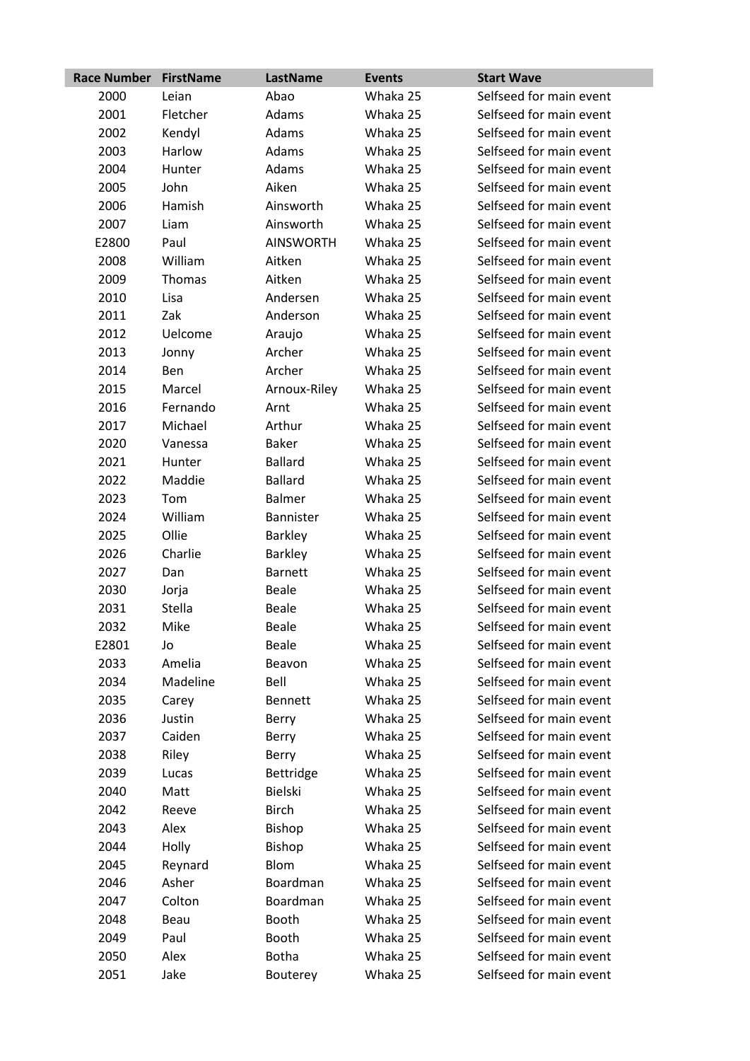| <b>Race Number</b> | <b>FirstName</b> | LastName         | <b>Events</b> | <b>Start Wave</b>       |
|--------------------|------------------|------------------|---------------|-------------------------|
| 2000               | Leian            | Abao             | Whaka 25      | Selfseed for main event |
| 2001               | Fletcher         | Adams            | Whaka 25      | Selfseed for main event |
| 2002               | Kendyl           | Adams            | Whaka 25      | Selfseed for main event |
| 2003               | Harlow           | Adams            | Whaka 25      | Selfseed for main event |
| 2004               | Hunter           | Adams            | Whaka 25      | Selfseed for main event |
| 2005               | John             | Aiken            | Whaka 25      | Selfseed for main event |
| 2006               | Hamish           | Ainsworth        | Whaka 25      | Selfseed for main event |
| 2007               | Liam             | Ainsworth        | Whaka 25      | Selfseed for main event |
| E2800              | Paul             | <b>AINSWORTH</b> | Whaka 25      | Selfseed for main event |
| 2008               | William          | Aitken           | Whaka 25      | Selfseed for main event |
| 2009               | Thomas           | Aitken           | Whaka 25      | Selfseed for main event |
| 2010               | Lisa             | Andersen         | Whaka 25      | Selfseed for main event |
| 2011               | Zak              | Anderson         | Whaka 25      | Selfseed for main event |
| 2012               | Uelcome          | Araujo           | Whaka 25      | Selfseed for main event |
| 2013               | Jonny            | Archer           | Whaka 25      | Selfseed for main event |
| 2014               | Ben              | Archer           | Whaka 25      | Selfseed for main event |
| 2015               | Marcel           | Arnoux-Riley     | Whaka 25      | Selfseed for main event |
| 2016               | Fernando         | Arnt             | Whaka 25      | Selfseed for main event |
| 2017               | Michael          | Arthur           | Whaka 25      | Selfseed for main event |
| 2020               | Vanessa          | <b>Baker</b>     | Whaka 25      | Selfseed for main event |
| 2021               | Hunter           | <b>Ballard</b>   | Whaka 25      | Selfseed for main event |
| 2022               | Maddie           | <b>Ballard</b>   | Whaka 25      | Selfseed for main event |
| 2023               | Tom              | <b>Balmer</b>    | Whaka 25      | Selfseed for main event |
| 2024               | William          | Bannister        | Whaka 25      | Selfseed for main event |
| 2025               | Ollie            | <b>Barkley</b>   | Whaka 25      | Selfseed for main event |
| 2026               | Charlie          | <b>Barkley</b>   | Whaka 25      | Selfseed for main event |
| 2027               | Dan              | <b>Barnett</b>   | Whaka 25      | Selfseed for main event |
| 2030               | Jorja            | <b>Beale</b>     | Whaka 25      | Selfseed for main event |
| 2031               | Stella           | <b>Beale</b>     | Whaka 25      | Selfseed for main event |
| 2032               | Mike             | <b>Beale</b>     | Whaka 25      | Selfseed for main event |
| E2801              | Jo               | <b>Beale</b>     | Whaka 25      | Selfseed for main event |
| 2033               | Amelia           | Beavon           | Whaka 25      | Selfseed for main event |
| 2034               | Madeline         | Bell             | Whaka 25      | Selfseed for main event |
| 2035               | Carey            | <b>Bennett</b>   | Whaka 25      | Selfseed for main event |
| 2036               | Justin           | Berry            | Whaka 25      | Selfseed for main event |
| 2037               | Caiden           | Berry            | Whaka 25      | Selfseed for main event |
| 2038               | Riley            | Berry            | Whaka 25      | Selfseed for main event |
| 2039               | Lucas            | Bettridge        | Whaka 25      | Selfseed for main event |
| 2040               | Matt             | <b>Bielski</b>   | Whaka 25      | Selfseed for main event |
| 2042               | Reeve            | <b>Birch</b>     | Whaka 25      | Selfseed for main event |
| 2043               | Alex             | Bishop           | Whaka 25      | Selfseed for main event |
| 2044               | Holly            | <b>Bishop</b>    | Whaka 25      | Selfseed for main event |
| 2045               | Reynard          | <b>Blom</b>      | Whaka 25      | Selfseed for main event |
| 2046               | Asher            | Boardman         | Whaka 25      | Selfseed for main event |
| 2047               | Colton           | Boardman         | Whaka 25      | Selfseed for main event |
| 2048               | Beau             | Booth            | Whaka 25      | Selfseed for main event |
| 2049               | Paul             | Booth            | Whaka 25      | Selfseed for main event |
| 2050               | Alex             | Botha            | Whaka 25      | Selfseed for main event |
| 2051               | Jake             | Bouterey         | Whaka 25      | Selfseed for main event |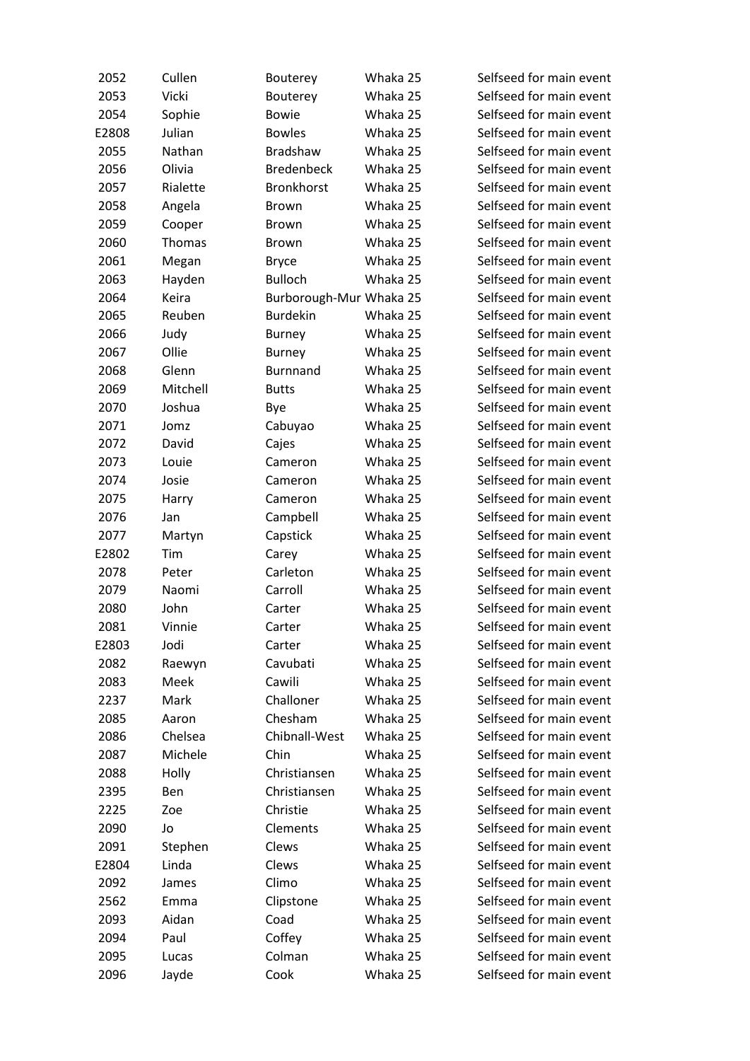| 2052  | Cullen   | Bouterey                | Whaka 25 | Selfseed for main event |
|-------|----------|-------------------------|----------|-------------------------|
| 2053  | Vicki    | Bouterey                | Whaka 25 | Selfseed for main event |
| 2054  | Sophie   | <b>Bowie</b>            | Whaka 25 | Selfseed for main event |
| E2808 | Julian   | <b>Bowles</b>           | Whaka 25 | Selfseed for main event |
| 2055  | Nathan   | Bradshaw                | Whaka 25 | Selfseed for main event |
| 2056  | Olivia   | <b>Bredenbeck</b>       | Whaka 25 | Selfseed for main event |
| 2057  | Rialette | <b>Bronkhorst</b>       | Whaka 25 | Selfseed for main event |
| 2058  | Angela   | Brown                   | Whaka 25 | Selfseed for main event |
| 2059  | Cooper   | Brown                   | Whaka 25 | Selfseed for main event |
| 2060  | Thomas   | Brown                   | Whaka 25 | Selfseed for main event |
| 2061  | Megan    | <b>Bryce</b>            | Whaka 25 | Selfseed for main event |
| 2063  | Hayden   | <b>Bulloch</b>          | Whaka 25 | Selfseed for main event |
| 2064  | Keira    | Burborough-Mur Whaka 25 |          | Selfseed for main event |
| 2065  | Reuben   | <b>Burdekin</b>         | Whaka 25 | Selfseed for main event |
| 2066  | Judy     | <b>Burney</b>           | Whaka 25 | Selfseed for main event |
| 2067  | Ollie    | <b>Burney</b>           | Whaka 25 | Selfseed for main event |
| 2068  | Glenn    | <b>Burnnand</b>         | Whaka 25 | Selfseed for main event |
| 2069  | Mitchell | <b>Butts</b>            | Whaka 25 | Selfseed for main event |
| 2070  | Joshua   | Bye                     | Whaka 25 | Selfseed for main event |
| 2071  | Jomz     | Cabuyao                 | Whaka 25 | Selfseed for main event |
| 2072  | David    | Cajes                   | Whaka 25 | Selfseed for main event |
| 2073  | Louie    | Cameron                 | Whaka 25 | Selfseed for main event |
| 2074  | Josie    | Cameron                 | Whaka 25 | Selfseed for main event |
| 2075  | Harry    | Cameron                 | Whaka 25 | Selfseed for main event |
| 2076  | Jan      | Campbell                | Whaka 25 | Selfseed for main event |
| 2077  | Martyn   | Capstick                | Whaka 25 | Selfseed for main event |
| E2802 | Tim      | Carey                   | Whaka 25 | Selfseed for main event |
| 2078  | Peter    | Carleton                | Whaka 25 | Selfseed for main event |
| 2079  | Naomi    | Carroll                 | Whaka 25 | Selfseed for main event |
| 2080  | John     | Carter                  | Whaka 25 | Selfseed for main event |
| 2081  | Vinnie   | Carter                  | Whaka 25 | Selfseed for main event |
| E2803 | Jodi     | Carter                  | Whaka 25 | Selfseed for main event |
| 2082  | Raewyn   | Cavubati                | Whaka 25 | Selfseed for main event |
| 2083  | Meek     | Cawili                  | Whaka 25 | Selfseed for main event |
| 2237  | Mark     | Challoner               | Whaka 25 | Selfseed for main event |
| 2085  | Aaron    | Chesham                 | Whaka 25 | Selfseed for main event |
| 2086  | Chelsea  | Chibnall-West           | Whaka 25 | Selfseed for main event |
| 2087  | Michele  | Chin                    | Whaka 25 | Selfseed for main event |
| 2088  | Holly    | Christiansen            | Whaka 25 | Selfseed for main event |
| 2395  | Ben      | Christiansen            | Whaka 25 | Selfseed for main event |
| 2225  | Zoe      | Christie                | Whaka 25 | Selfseed for main event |
| 2090  |          | Clements                | Whaka 25 | Selfseed for main event |
|       | Jo       |                         |          | Selfseed for main event |
| 2091  | Stephen  | Clews                   | Whaka 25 |                         |
| E2804 | Linda    | Clews                   | Whaka 25 | Selfseed for main event |
| 2092  | James    | Climo                   | Whaka 25 | Selfseed for main event |
| 2562  | Emma     | Clipstone               | Whaka 25 | Selfseed for main event |
| 2093  | Aidan    | Coad                    | Whaka 25 | Selfseed for main event |
| 2094  | Paul     | Coffey                  | Whaka 25 | Selfseed for main event |
| 2095  | Lucas    | Colman                  | Whaka 25 | Selfseed for main event |
| 2096  | Jayde    | Cook                    | Whaka 25 | Selfseed for main event |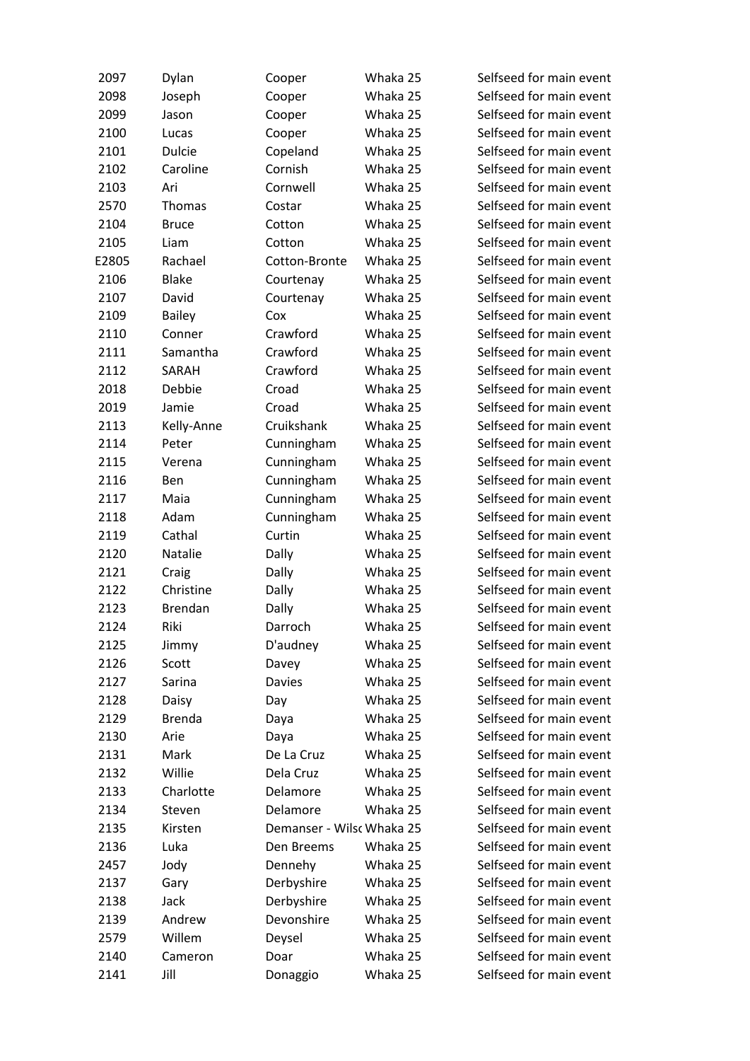| 2097  | Dylan          | Cooper                    | Whaka 25 | Selfseed for main event |
|-------|----------------|---------------------------|----------|-------------------------|
| 2098  | Joseph         | Cooper                    | Whaka 25 | Selfseed for main event |
| 2099  | Jason          | Cooper                    | Whaka 25 | Selfseed for main event |
| 2100  | Lucas          | Cooper                    | Whaka 25 | Selfseed for main event |
| 2101  | <b>Dulcie</b>  | Copeland                  | Whaka 25 | Selfseed for main event |
| 2102  | Caroline       | Cornish                   | Whaka 25 | Selfseed for main event |
| 2103  | Ari            | Cornwell                  | Whaka 25 | Selfseed for main event |
| 2570  | Thomas         | Costar                    | Whaka 25 | Selfseed for main event |
| 2104  | <b>Bruce</b>   | Cotton                    | Whaka 25 | Selfseed for main event |
| 2105  | Liam           | Cotton                    | Whaka 25 | Selfseed for main event |
| E2805 | Rachael        | Cotton-Bronte             | Whaka 25 | Selfseed for main event |
| 2106  | <b>Blake</b>   | Courtenay                 | Whaka 25 | Selfseed for main event |
| 2107  | David          | Courtenay                 | Whaka 25 | Selfseed for main event |
| 2109  | <b>Bailey</b>  | Cox                       | Whaka 25 | Selfseed for main event |
| 2110  | Conner         | Crawford                  | Whaka 25 | Selfseed for main event |
| 2111  | Samantha       | Crawford                  | Whaka 25 | Selfseed for main event |
| 2112  | SARAH          | Crawford                  | Whaka 25 | Selfseed for main event |
| 2018  | Debbie         | Croad                     | Whaka 25 | Selfseed for main event |
| 2019  | Jamie          | Croad                     | Whaka 25 | Selfseed for main event |
| 2113  | Kelly-Anne     | Cruikshank                | Whaka 25 | Selfseed for main event |
| 2114  | Peter          | Cunningham                | Whaka 25 | Selfseed for main event |
| 2115  | Verena         | Cunningham                | Whaka 25 | Selfseed for main event |
| 2116  | Ben            | Cunningham                | Whaka 25 | Selfseed for main event |
| 2117  | Maia           | Cunningham                | Whaka 25 | Selfseed for main event |
| 2118  | Adam           | Cunningham                | Whaka 25 | Selfseed for main event |
| 2119  | Cathal         | Curtin                    | Whaka 25 | Selfseed for main event |
| 2120  | Natalie        |                           | Whaka 25 | Selfseed for main event |
|       |                | Dally                     |          | Selfseed for main event |
| 2121  | Craig          | Dally                     | Whaka 25 |                         |
| 2122  | Christine      | Dally                     | Whaka 25 | Selfseed for main event |
| 2123  | <b>Brendan</b> | Dally                     | Whaka 25 | Selfseed for main event |
| 2124  | Riki           | Darroch                   | Whaka 25 | Selfseed for main event |
| 2125  | Jimmy          | D'audney                  | Whaka 25 | Selfseed for main event |
| 2126  | Scott          | Davey                     | Whaka 25 | Selfseed for main event |
| 2127  | Sarina         | Davies                    | Whaka 25 | Selfseed for main event |
| 2128  | Daisy          | Day                       | Whaka 25 | Selfseed for main event |
| 2129  | <b>Brenda</b>  | Daya                      | Whaka 25 | Selfseed for main event |
| 2130  | Arie           | Daya                      | Whaka 25 | Selfseed for main event |
| 2131  | Mark           | De La Cruz                | Whaka 25 | Selfseed for main event |
| 2132  | Willie         | Dela Cruz                 | Whaka 25 | Selfseed for main event |
| 2133  | Charlotte      | Delamore                  | Whaka 25 | Selfseed for main event |
| 2134  | Steven         | Delamore                  | Whaka 25 | Selfseed for main event |
| 2135  | Kirsten        | Demanser - Wilsc Whaka 25 |          | Selfseed for main event |
| 2136  | Luka           | Den Breems                | Whaka 25 | Selfseed for main event |
| 2457  | Jody           | Dennehy                   | Whaka 25 | Selfseed for main event |
| 2137  | Gary           | Derbyshire                | Whaka 25 | Selfseed for main event |
| 2138  | Jack           | Derbyshire                | Whaka 25 | Selfseed for main event |
| 2139  | Andrew         | Devonshire                | Whaka 25 | Selfseed for main event |
| 2579  | Willem         | Deysel                    | Whaka 25 | Selfseed for main event |
| 2140  | Cameron        | Doar                      | Whaka 25 | Selfseed for main event |
| 2141  | Jill           | Donaggio                  | Whaka 25 | Selfseed for main event |
|       |                |                           |          |                         |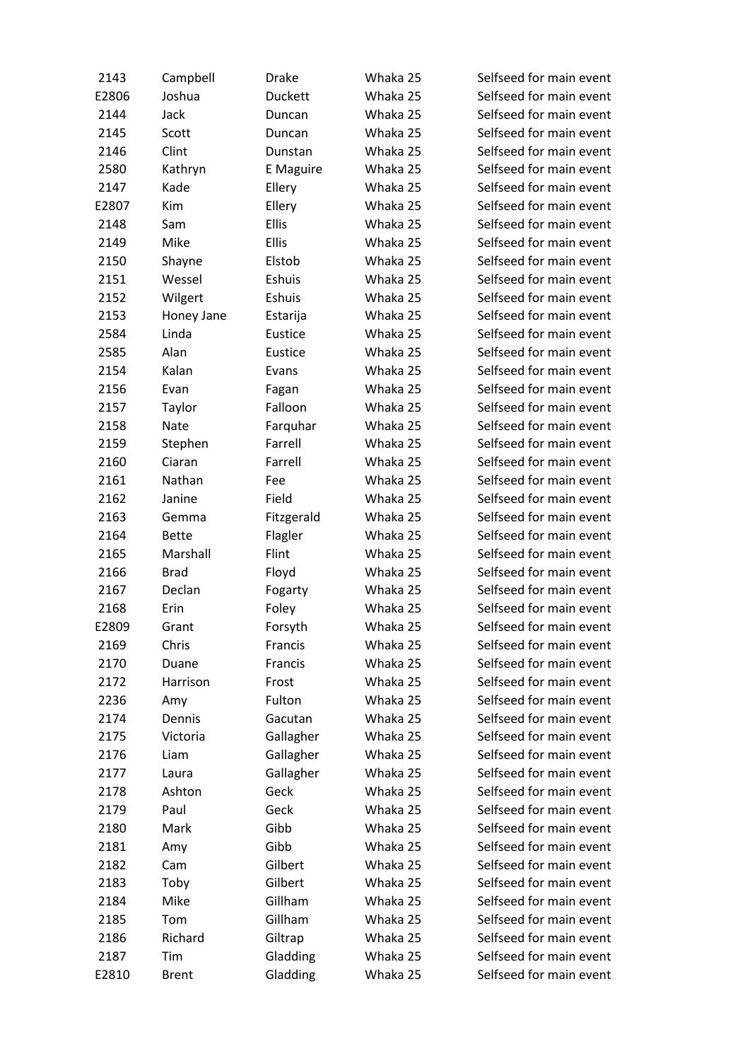| 2143  | Campbell     | <b>Drake</b>   | Whaka 25 | Selfseed for main event |
|-------|--------------|----------------|----------|-------------------------|
| E2806 | Joshua       | <b>Duckett</b> | Whaka 25 | Selfseed for main event |
| 2144  | Jack         | Duncan         | Whaka 25 | Selfseed for main event |
| 2145  | Scott        | Duncan         | Whaka 25 | Selfseed for main event |
| 2146  | Clint        | Dunstan        | Whaka 25 | Selfseed for main event |
| 2580  | Kathryn      | E Maguire      | Whaka 25 | Selfseed for main event |
| 2147  | Kade         | Ellery         | Whaka 25 | Selfseed for main event |
| E2807 | Kim          | Ellery         | Whaka 25 | Selfseed for main event |
| 2148  | Sam          | <b>Ellis</b>   | Whaka 25 | Selfseed for main event |
| 2149  | Mike         | <b>Ellis</b>   | Whaka 25 | Selfseed for main event |
| 2150  | Shayne       | Elstob         | Whaka 25 | Selfseed for main event |
| 2151  | Wessel       | Eshuis         | Whaka 25 | Selfseed for main event |
| 2152  | Wilgert      | Eshuis         | Whaka 25 | Selfseed for main event |
| 2153  | Honey Jane   | Estarija       | Whaka 25 | Selfseed for main event |
| 2584  | Linda        | Eustice        | Whaka 25 | Selfseed for main event |
| 2585  | Alan         | Eustice        | Whaka 25 | Selfseed for main event |
| 2154  | Kalan        | Evans          | Whaka 25 | Selfseed for main event |
| 2156  | Evan         | Fagan          | Whaka 25 | Selfseed for main event |
| 2157  | Taylor       | Falloon        | Whaka 25 | Selfseed for main event |
| 2158  | Nate         | Farquhar       | Whaka 25 | Selfseed for main event |
| 2159  | Stephen      | Farrell        | Whaka 25 | Selfseed for main event |
| 2160  | Ciaran       | Farrell        | Whaka 25 | Selfseed for main event |
| 2161  | Nathan       | Fee            | Whaka 25 | Selfseed for main event |
| 2162  | Janine       | Field          | Whaka 25 | Selfseed for main event |
| 2163  | Gemma        | Fitzgerald     | Whaka 25 | Selfseed for main event |
| 2164  | <b>Bette</b> | Flagler        | Whaka 25 | Selfseed for main event |
| 2165  | Marshall     | Flint          | Whaka 25 | Selfseed for main event |
| 2166  | <b>Brad</b>  | Floyd          | Whaka 25 | Selfseed for main event |
| 2167  | Declan       | Fogarty        | Whaka 25 | Selfseed for main event |
| 2168  | Erin         | Foley          | Whaka 25 | Selfseed for main event |
| E2809 | Grant        | Forsyth        | Whaka 25 | Selfseed for main event |
| 2169  | Chris        | Francis        | Whaka 25 | Selfseed for main event |
| 2170  | Duane        | Francis        | Whaka 25 | Selfseed for main event |
| 2172  | Harrison     | Frost          | Whaka 25 | Selfseed for main event |
| 2236  | Amy          | Fulton         | Whaka 25 | Selfseed for main event |
| 2174  | Dennis       | Gacutan        | Whaka 25 | Selfseed for main event |
| 2175  | Victoria     | Gallagher      | Whaka 25 | Selfseed for main event |
| 2176  | Liam         | Gallagher      | Whaka 25 | Selfseed for main event |
| 2177  | Laura        | Gallagher      | Whaka 25 | Selfseed for main event |
| 2178  | Ashton       | Geck           | Whaka 25 | Selfseed for main event |
| 2179  | Paul         | Geck           | Whaka 25 | Selfseed for main event |
| 2180  | Mark         | Gibb           | Whaka 25 | Selfseed for main event |
| 2181  | Amy          | Gibb           | Whaka 25 | Selfseed for main event |
| 2182  | Cam          | Gilbert        | Whaka 25 | Selfseed for main event |
| 2183  | Toby         | Gilbert        | Whaka 25 | Selfseed for main event |
| 2184  | Mike         | Gillham        | Whaka 25 | Selfseed for main event |
| 2185  | Tom          | Gillham        | Whaka 25 | Selfseed for main event |
| 2186  | Richard      | Giltrap        | Whaka 25 | Selfseed for main event |
| 2187  | Tim          | Gladding       | Whaka 25 | Selfseed for main event |
| E2810 | <b>Brent</b> | Gladding       | Whaka 25 | Selfseed for main event |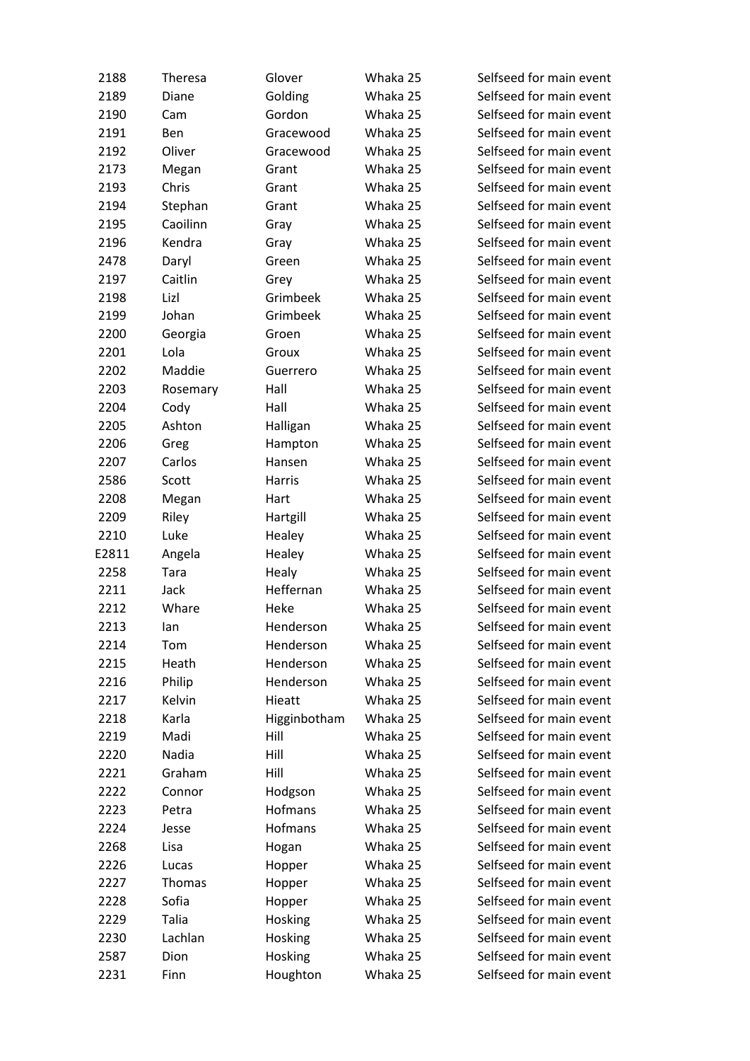| 2188  | Theresa  | Glover       | Whaka 25 | Selfseed for main event |
|-------|----------|--------------|----------|-------------------------|
| 2189  | Diane    | Golding      | Whaka 25 | Selfseed for main event |
| 2190  | Cam      | Gordon       | Whaka 25 | Selfseed for main event |
| 2191  | Ben      | Gracewood    | Whaka 25 | Selfseed for main event |
| 2192  | Oliver   | Gracewood    | Whaka 25 | Selfseed for main event |
| 2173  | Megan    | Grant        | Whaka 25 | Selfseed for main event |
| 2193  | Chris    | Grant        | Whaka 25 | Selfseed for main event |
| 2194  | Stephan  | Grant        | Whaka 25 | Selfseed for main event |
| 2195  | Caoilinn | Gray         | Whaka 25 | Selfseed for main event |
| 2196  | Kendra   | Gray         | Whaka 25 | Selfseed for main event |
| 2478  | Daryl    | Green        | Whaka 25 | Selfseed for main event |
| 2197  | Caitlin  | Grey         | Whaka 25 | Selfseed for main event |
| 2198  | Lizl     | Grimbeek     | Whaka 25 | Selfseed for main event |
| 2199  | Johan    | Grimbeek     | Whaka 25 | Selfseed for main event |
| 2200  | Georgia  | Groen        | Whaka 25 | Selfseed for main event |
| 2201  | Lola     | Groux        | Whaka 25 | Selfseed for main event |
| 2202  | Maddie   | Guerrero     | Whaka 25 | Selfseed for main event |
| 2203  | Rosemary | Hall         | Whaka 25 | Selfseed for main event |
| 2204  | Cody     | Hall         | Whaka 25 | Selfseed for main event |
| 2205  | Ashton   | Halligan     | Whaka 25 | Selfseed for main event |
| 2206  | Greg     | Hampton      | Whaka 25 | Selfseed for main event |
| 2207  | Carlos   | Hansen       | Whaka 25 | Selfseed for main event |
| 2586  | Scott    | Harris       | Whaka 25 | Selfseed for main event |
| 2208  | Megan    | Hart         | Whaka 25 | Selfseed for main event |
| 2209  | Riley    | Hartgill     | Whaka 25 | Selfseed for main event |
| 2210  | Luke     | Healey       | Whaka 25 | Selfseed for main event |
| E2811 | Angela   | Healey       | Whaka 25 | Selfseed for main event |
| 2258  | Tara     | Healy        | Whaka 25 | Selfseed for main event |
| 2211  | Jack     | Heffernan    | Whaka 25 | Selfseed for main event |
| 2212  | Whare    | Heke         | Whaka 25 | Selfseed for main event |
| 2213  | lan      | Henderson    | Whaka 25 | Selfseed for main event |
| 2214  | Tom      | Henderson    | Whaka 25 | Selfseed for main event |
| 2215  | Heath    | Henderson    | Whaka 25 | Selfseed for main event |
| 2216  | Philip   | Henderson    | Whaka 25 | Selfseed for main event |
| 2217  | Kelvin   | Hieatt       | Whaka 25 | Selfseed for main event |
| 2218  | Karla    | Higginbotham | Whaka 25 | Selfseed for main event |
| 2219  | Madi     | Hill         | Whaka 25 | Selfseed for main event |
| 2220  | Nadia    | Hill         | Whaka 25 | Selfseed for main event |
| 2221  | Graham   | Hill         | Whaka 25 | Selfseed for main event |
| 2222  | Connor   | Hodgson      | Whaka 25 | Selfseed for main event |
| 2223  | Petra    | Hofmans      | Whaka 25 | Selfseed for main event |
| 2224  | Jesse    | Hofmans      | Whaka 25 | Selfseed for main event |
| 2268  | Lisa     | Hogan        | Whaka 25 | Selfseed for main event |
| 2226  | Lucas    | Hopper       | Whaka 25 | Selfseed for main event |
| 2227  | Thomas   | Hopper       | Whaka 25 | Selfseed for main event |
| 2228  | Sofia    | Hopper       | Whaka 25 | Selfseed for main event |
| 2229  | Talia    | Hosking      | Whaka 25 | Selfseed for main event |
| 2230  | Lachlan  | Hosking      | Whaka 25 | Selfseed for main event |
| 2587  | Dion     | Hosking      | Whaka 25 | Selfseed for main event |
| 2231  | Finn     | Houghton     | Whaka 25 | Selfseed for main event |
|       |          |              |          |                         |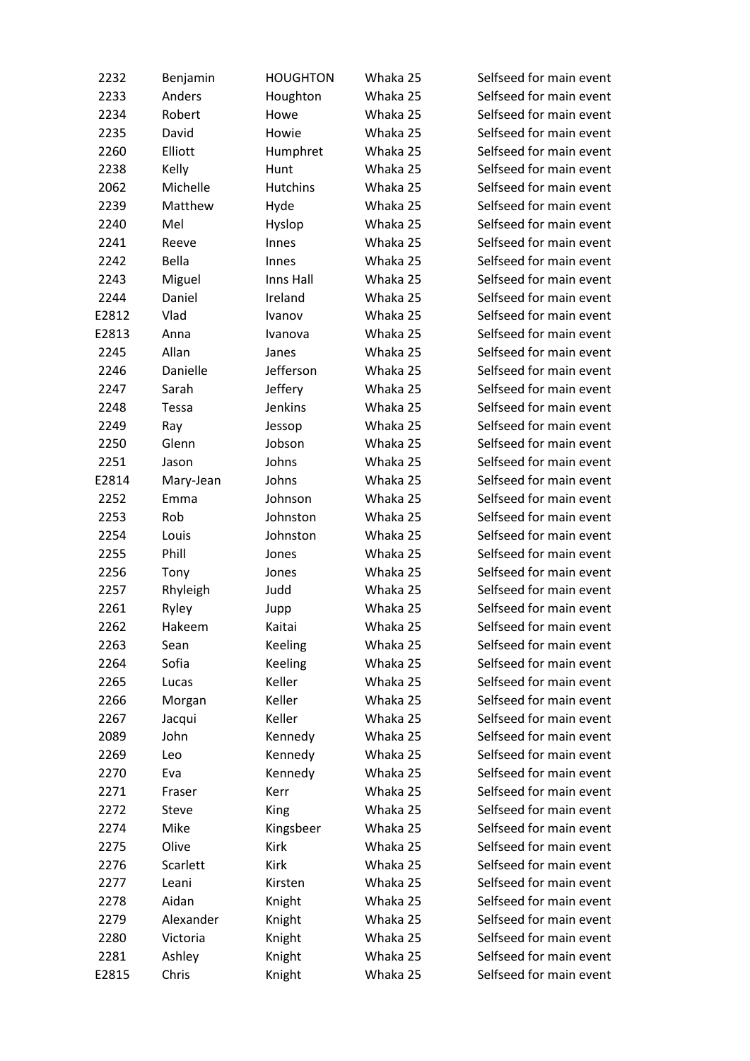| 2232  | Benjamin     | <b>HOUGHTON</b> | Whaka 25 | Selfseed for main event |
|-------|--------------|-----------------|----------|-------------------------|
| 2233  | Anders       | Houghton        | Whaka 25 | Selfseed for main event |
| 2234  | Robert       | Howe            | Whaka 25 | Selfseed for main event |
| 2235  | David        | Howie           | Whaka 25 | Selfseed for main event |
| 2260  | Elliott      | Humphret        | Whaka 25 | Selfseed for main event |
| 2238  | Kelly        | Hunt            | Whaka 25 | Selfseed for main event |
| 2062  | Michelle     | Hutchins        | Whaka 25 | Selfseed for main event |
| 2239  | Matthew      | Hyde            | Whaka 25 | Selfseed for main event |
| 2240  | Mel          | Hyslop          | Whaka 25 | Selfseed for main event |
| 2241  | Reeve        | Innes           | Whaka 25 | Selfseed for main event |
| 2242  | <b>Bella</b> | Innes           | Whaka 25 | Selfseed for main event |
| 2243  | Miguel       | Inns Hall       | Whaka 25 | Selfseed for main event |
| 2244  | Daniel       | Ireland         | Whaka 25 | Selfseed for main event |
| E2812 | Vlad         | Ivanov          | Whaka 25 | Selfseed for main event |
| E2813 | Anna         | Ivanova         | Whaka 25 | Selfseed for main event |
| 2245  | Allan        | Janes           | Whaka 25 | Selfseed for main event |
| 2246  | Danielle     | Jefferson       | Whaka 25 | Selfseed for main event |
| 2247  | Sarah        | Jeffery         | Whaka 25 | Selfseed for main event |
| 2248  | Tessa        | Jenkins         | Whaka 25 | Selfseed for main event |
| 2249  | Ray          | Jessop          | Whaka 25 | Selfseed for main event |
| 2250  | Glenn        | Jobson          | Whaka 25 | Selfseed for main event |
| 2251  | Jason        | Johns           | Whaka 25 | Selfseed for main event |
| E2814 | Mary-Jean    | Johns           | Whaka 25 | Selfseed for main event |
| 2252  | Emma         | Johnson         | Whaka 25 | Selfseed for main event |
| 2253  | Rob          | Johnston        | Whaka 25 | Selfseed for main event |
| 2254  | Louis        | Johnston        | Whaka 25 | Selfseed for main event |
| 2255  | Phill        | Jones           | Whaka 25 | Selfseed for main event |
| 2256  | Tony         | Jones           | Whaka 25 | Selfseed for main event |
| 2257  | Rhyleigh     | Judd            | Whaka 25 | Selfseed for main event |
| 2261  | Ryley        | Jupp            | Whaka 25 | Selfseed for main event |
| 2262  | Hakeem       | Kaitai          | Whaka 25 | Selfseed for main event |
| 2263  | Sean         | Keeling         | Whaka 25 | Selfseed for main event |
| 2264  | Sofia        | <b>Keeling</b>  | Whaka 25 | Selfseed for main event |
| 2265  | Lucas        | Keller          | Whaka 25 | Selfseed for main event |
| 2266  | Morgan       | Keller          | Whaka 25 | Selfseed for main event |
| 2267  | Jacqui       | Keller          | Whaka 25 | Selfseed for main event |
| 2089  | John         | Kennedy         | Whaka 25 | Selfseed for main event |
| 2269  | Leo          | Kennedy         | Whaka 25 | Selfseed for main event |
| 2270  | Eva          | Kennedy         | Whaka 25 | Selfseed for main event |
| 2271  | Fraser       | Kerr            | Whaka 25 | Selfseed for main event |
| 2272  | Steve        | <b>King</b>     | Whaka 25 | Selfseed for main event |
| 2274  | Mike         | Kingsbeer       | Whaka 25 | Selfseed for main event |
| 2275  | Olive        | Kirk            | Whaka 25 | Selfseed for main event |
| 2276  | Scarlett     | Kirk            | Whaka 25 | Selfseed for main event |
| 2277  | Leani        | Kirsten         | Whaka 25 | Selfseed for main event |
| 2278  | Aidan        | Knight          | Whaka 25 | Selfseed for main event |
| 2279  | Alexander    | Knight          | Whaka 25 | Selfseed for main event |
| 2280  | Victoria     | Knight          | Whaka 25 | Selfseed for main event |
| 2281  | Ashley       | Knight          | Whaka 25 | Selfseed for main event |
| E2815 | Chris        | Knight          | Whaka 25 | Selfseed for main event |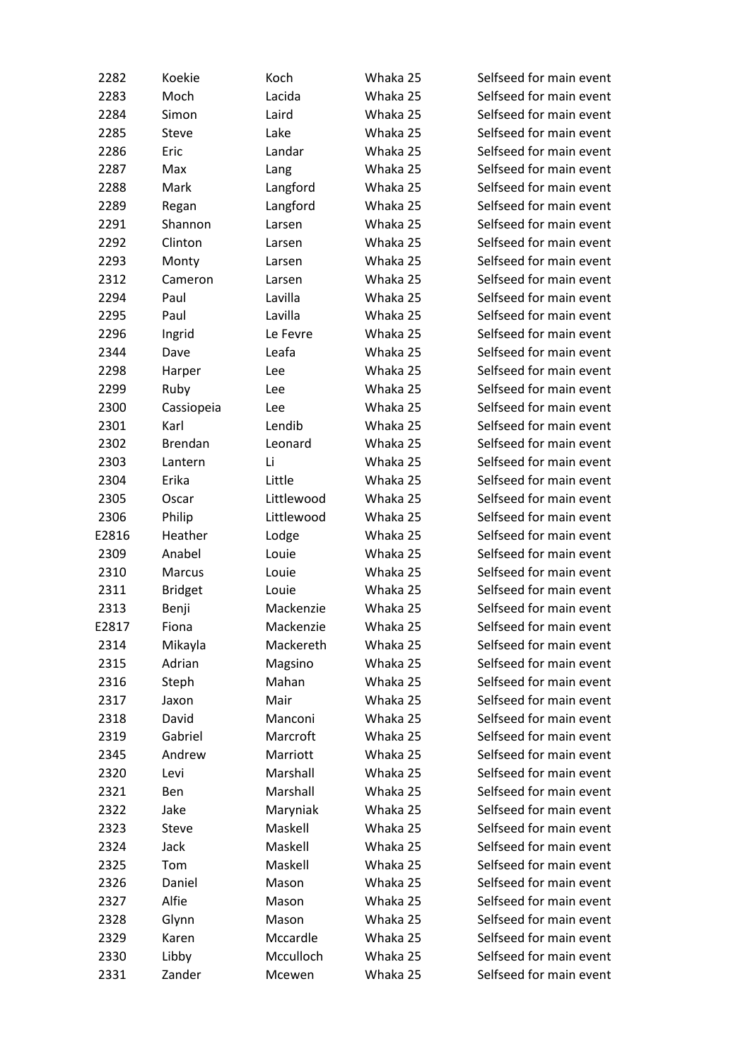| 2282  | Koekie         | Koch       | Whaka 25 | Selfseed for main event |
|-------|----------------|------------|----------|-------------------------|
| 2283  | Moch           | Lacida     | Whaka 25 | Selfseed for main event |
| 2284  | Simon          | Laird      | Whaka 25 | Selfseed for main event |
| 2285  | Steve          | Lake       | Whaka 25 | Selfseed for main event |
| 2286  | Eric           | Landar     | Whaka 25 | Selfseed for main event |
| 2287  | Max            | Lang       | Whaka 25 | Selfseed for main event |
| 2288  | Mark           | Langford   | Whaka 25 | Selfseed for main event |
| 2289  | Regan          | Langford   | Whaka 25 | Selfseed for main event |
| 2291  | Shannon        | Larsen     | Whaka 25 | Selfseed for main event |
| 2292  | Clinton        | Larsen     | Whaka 25 | Selfseed for main event |
| 2293  | Monty          | Larsen     | Whaka 25 | Selfseed for main event |
| 2312  | Cameron        | Larsen     | Whaka 25 | Selfseed for main event |
| 2294  | Paul           | Lavilla    | Whaka 25 | Selfseed for main event |
| 2295  | Paul           | Lavilla    | Whaka 25 | Selfseed for main event |
| 2296  | Ingrid         | Le Fevre   | Whaka 25 | Selfseed for main event |
| 2344  | Dave           | Leafa      | Whaka 25 | Selfseed for main event |
| 2298  | Harper         | Lee        | Whaka 25 | Selfseed for main event |
|       |                |            | Whaka 25 |                         |
| 2299  | Ruby           | Lee        |          | Selfseed for main event |
| 2300  | Cassiopeia     | Lee        | Whaka 25 | Selfseed for main event |
| 2301  | Karl           | Lendib     | Whaka 25 | Selfseed for main event |
| 2302  | <b>Brendan</b> | Leonard    | Whaka 25 | Selfseed for main event |
| 2303  | Lantern        | Li         | Whaka 25 | Selfseed for main event |
| 2304  | Erika          | Little     | Whaka 25 | Selfseed for main event |
| 2305  | Oscar          | Littlewood | Whaka 25 | Selfseed for main event |
| 2306  | Philip         | Littlewood | Whaka 25 | Selfseed for main event |
| E2816 | Heather        | Lodge      | Whaka 25 | Selfseed for main event |
| 2309  | Anabel         | Louie      | Whaka 25 | Selfseed for main event |
| 2310  | Marcus         | Louie      | Whaka 25 | Selfseed for main event |
| 2311  | <b>Bridget</b> | Louie      | Whaka 25 | Selfseed for main event |
| 2313  | Benji          | Mackenzie  | Whaka 25 | Selfseed for main event |
| E2817 | Fiona          | Mackenzie  | Whaka 25 | Selfseed for main event |
| 2314  | Mikayla        | Mackereth  | Whaka 25 | Selfseed for main event |
| 2315  | Adrian         | Magsino    | Whaka 25 | Selfseed for main event |
| 2316  | Steph          | Mahan      | Whaka 25 | Selfseed for main event |
| 2317  | Jaxon          | Mair       | Whaka 25 | Selfseed for main event |
| 2318  | David          | Manconi    | Whaka 25 | Selfseed for main event |
| 2319  | Gabriel        | Marcroft   | Whaka 25 | Selfseed for main event |
| 2345  | Andrew         | Marriott   | Whaka 25 | Selfseed for main event |
| 2320  | Levi           | Marshall   | Whaka 25 | Selfseed for main event |
| 2321  | Ben            | Marshall   | Whaka 25 | Selfseed for main event |
| 2322  | Jake           | Maryniak   | Whaka 25 | Selfseed for main event |
| 2323  | Steve          | Maskell    | Whaka 25 | Selfseed for main event |
| 2324  | Jack           | Maskell    | Whaka 25 | Selfseed for main event |
| 2325  | Tom            | Maskell    | Whaka 25 | Selfseed for main event |
| 2326  | Daniel         | Mason      | Whaka 25 | Selfseed for main event |
| 2327  | Alfie          | Mason      | Whaka 25 | Selfseed for main event |
| 2328  | Glynn          | Mason      | Whaka 25 | Selfseed for main event |
| 2329  | Karen          | Mccardle   | Whaka 25 | Selfseed for main event |
| 2330  | Libby          | Mcculloch  | Whaka 25 | Selfseed for main event |
| 2331  | Zander         | Mcewen     | Whaka 25 | Selfseed for main event |
|       |                |            |          |                         |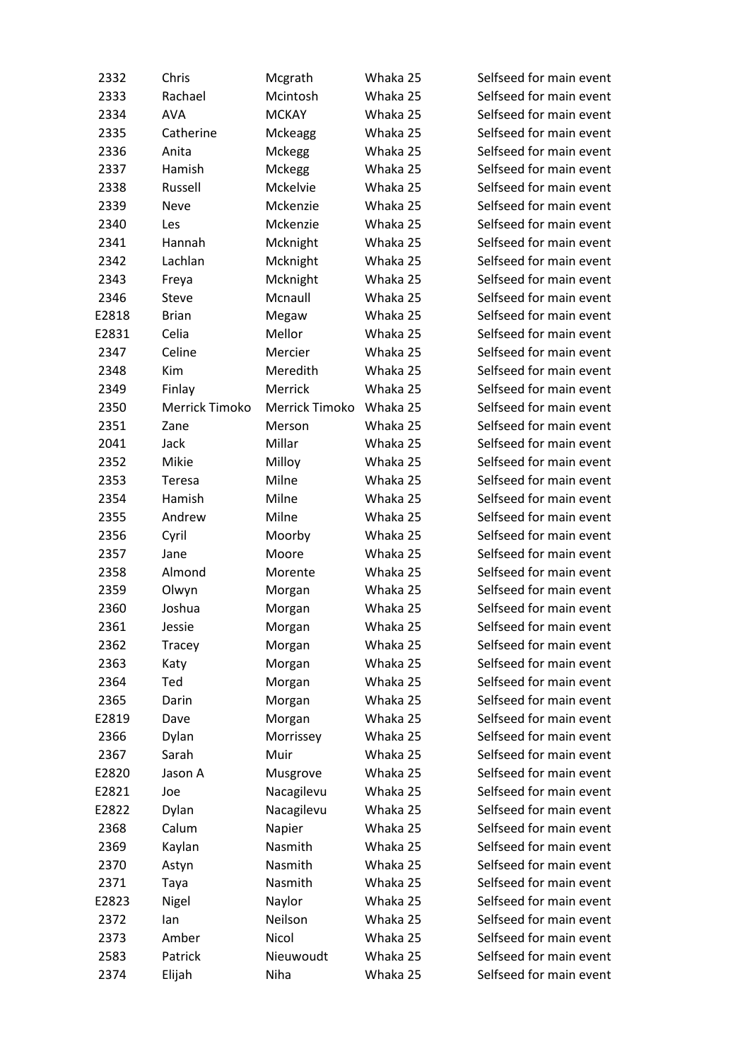| 2332  | Chris          | Mcgrath        | Whaka 25 | Selfseed for main event |
|-------|----------------|----------------|----------|-------------------------|
| 2333  | Rachael        | Mcintosh       | Whaka 25 | Selfseed for main event |
| 2334  | <b>AVA</b>     | <b>MCKAY</b>   | Whaka 25 | Selfseed for main event |
| 2335  | Catherine      | <b>Mckeagg</b> | Whaka 25 | Selfseed for main event |
| 2336  | Anita          | Mckegg         | Whaka 25 | Selfseed for main event |
| 2337  | Hamish         | Mckegg         | Whaka 25 | Selfseed for main event |
| 2338  | Russell        | Mckelvie       | Whaka 25 | Selfseed for main event |
| 2339  | Neve           | Mckenzie       | Whaka 25 | Selfseed for main event |
| 2340  | Les            | Mckenzie       | Whaka 25 | Selfseed for main event |
| 2341  | Hannah         | Mcknight       | Whaka 25 | Selfseed for main event |
| 2342  | Lachlan        | Mcknight       | Whaka 25 | Selfseed for main event |
| 2343  |                |                | Whaka 25 | Selfseed for main event |
|       | Freya<br>Steve | Mcknight       |          |                         |
| 2346  |                | Mcnaull        | Whaka 25 | Selfseed for main event |
| E2818 | <b>Brian</b>   | Megaw          | Whaka 25 | Selfseed for main event |
| E2831 | Celia          | Mellor         | Whaka 25 | Selfseed for main event |
| 2347  | Celine         | Mercier        | Whaka 25 | Selfseed for main event |
| 2348  | Kim            | Meredith       | Whaka 25 | Selfseed for main event |
| 2349  | Finlay         | Merrick        | Whaka 25 | Selfseed for main event |
| 2350  | Merrick Timoko | Merrick Timoko | Whaka 25 | Selfseed for main event |
| 2351  | Zane           | Merson         | Whaka 25 | Selfseed for main event |
| 2041  | Jack           | Millar         | Whaka 25 | Selfseed for main event |
| 2352  | Mikie          | Milloy         | Whaka 25 | Selfseed for main event |
| 2353  | Teresa         | Milne          | Whaka 25 | Selfseed for main event |
| 2354  | Hamish         | Milne          | Whaka 25 | Selfseed for main event |
| 2355  | Andrew         | Milne          | Whaka 25 | Selfseed for main event |
| 2356  | Cyril          | Moorby         | Whaka 25 | Selfseed for main event |
| 2357  | Jane           | Moore          | Whaka 25 | Selfseed for main event |
| 2358  | Almond         | Morente        | Whaka 25 | Selfseed for main event |
| 2359  | Olwyn          | Morgan         | Whaka 25 | Selfseed for main event |
| 2360  | Joshua         | Morgan         | Whaka 25 | Selfseed for main event |
| 2361  | Jessie         | Morgan         | Whaka 25 | Selfseed for main event |
| 2362  | Tracey         | Morgan         | Whaka 25 | Selfseed for main event |
| 2363  | Katy           | Morgan         | Whaka 25 | Selfseed for main event |
| 2364  | Ted            | Morgan         | Whaka 25 | Selfseed for main event |
| 2365  | Darin          | Morgan         | Whaka 25 | Selfseed for main event |
| E2819 | Dave           | Morgan         | Whaka 25 | Selfseed for main event |
| 2366  | Dylan          | Morrissey      | Whaka 25 | Selfseed for main event |
| 2367  | Sarah          | Muir           | Whaka 25 | Selfseed for main event |
| E2820 | Jason A        | Musgrove       | Whaka 25 | Selfseed for main event |
| E2821 | Joe            | Nacagilevu     | Whaka 25 | Selfseed for main event |
| E2822 | Dylan          | Nacagilevu     | Whaka 25 | Selfseed for main event |
| 2368  | Calum          | Napier         | Whaka 25 | Selfseed for main event |
| 2369  | Kaylan         | Nasmith        | Whaka 25 | Selfseed for main event |
| 2370  | Astyn          | Nasmith        | Whaka 25 | Selfseed for main event |
| 2371  | Taya           | Nasmith        | Whaka 25 | Selfseed for main event |
| E2823 | Nigel          | Naylor         | Whaka 25 | Selfseed for main event |
| 2372  | lan            | Neilson        | Whaka 25 | Selfseed for main event |
| 2373  | Amber          | Nicol          | Whaka 25 | Selfseed for main event |
| 2583  | Patrick        | Nieuwoudt      | Whaka 25 | Selfseed for main event |
| 2374  | Elijah         | Niha           | Whaka 25 | Selfseed for main event |
|       |                |                |          |                         |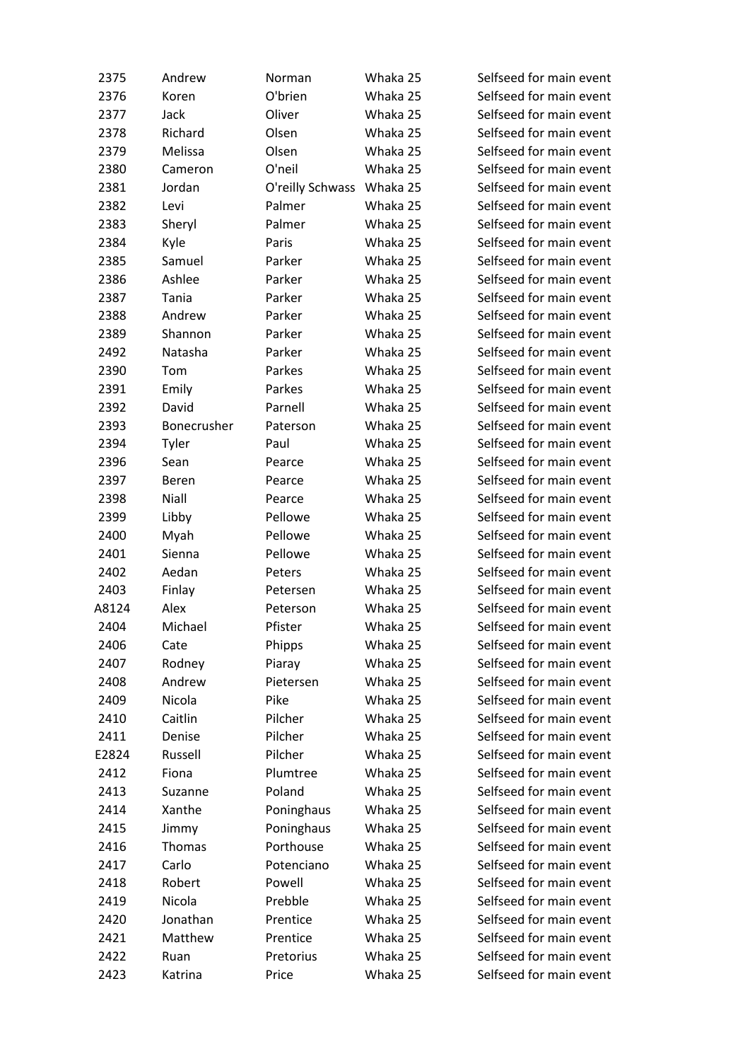| 2375  | Andrew      | Norman                    | Whaka 25 | Selfseed for main event |
|-------|-------------|---------------------------|----------|-------------------------|
| 2376  | Koren       | O'brien                   | Whaka 25 | Selfseed for main event |
| 2377  | Jack        | Oliver                    | Whaka 25 | Selfseed for main event |
| 2378  | Richard     | Olsen                     | Whaka 25 | Selfseed for main event |
| 2379  | Melissa     | Olsen                     | Whaka 25 | Selfseed for main event |
|       |             |                           |          |                         |
| 2380  | Cameron     | O'neil                    | Whaka 25 | Selfseed for main event |
| 2381  | Jordan      | O'reilly Schwass Whaka 25 |          | Selfseed for main event |
| 2382  | Levi        | Palmer                    | Whaka 25 | Selfseed for main event |
| 2383  | Sheryl      | Palmer                    | Whaka 25 | Selfseed for main event |
| 2384  | Kyle        | Paris                     | Whaka 25 | Selfseed for main event |
| 2385  | Samuel      | Parker                    | Whaka 25 | Selfseed for main event |
| 2386  | Ashlee      | Parker                    | Whaka 25 | Selfseed for main event |
| 2387  | Tania       | Parker                    | Whaka 25 | Selfseed for main event |
| 2388  | Andrew      | Parker                    | Whaka 25 | Selfseed for main event |
| 2389  | Shannon     | Parker                    | Whaka 25 | Selfseed for main event |
| 2492  | Natasha     | Parker                    | Whaka 25 | Selfseed for main event |
| 2390  | Tom         | Parkes                    | Whaka 25 | Selfseed for main event |
| 2391  | Emily       | Parkes                    | Whaka 25 | Selfseed for main event |
| 2392  | David       | Parnell                   | Whaka 25 | Selfseed for main event |
| 2393  | Bonecrusher | Paterson                  | Whaka 25 | Selfseed for main event |
| 2394  | Tyler       | Paul                      | Whaka 25 | Selfseed for main event |
| 2396  | Sean        | Pearce                    | Whaka 25 | Selfseed for main event |
| 2397  | Beren       | Pearce                    | Whaka 25 | Selfseed for main event |
| 2398  | Niall       | Pearce                    | Whaka 25 | Selfseed for main event |
| 2399  | Libby       | Pellowe                   | Whaka 25 | Selfseed for main event |
| 2400  | Myah        | Pellowe                   | Whaka 25 | Selfseed for main event |
| 2401  | Sienna      | Pellowe                   | Whaka 25 | Selfseed for main event |
| 2402  | Aedan       | Peters                    | Whaka 25 | Selfseed for main event |
| 2403  | Finlay      | Petersen                  | Whaka 25 | Selfseed for main event |
| A8124 | Alex        | Peterson                  | Whaka 25 | Selfseed for main event |
| 2404  | Michael     | Pfister                   | Whaka 25 | Selfseed for main event |
| 2406  | Cate        | Phipps                    | Whaka 25 | Selfseed for main event |
| 2407  | Rodney      | Piaray                    | Whaka 25 | Selfseed for main event |
| 2408  | Andrew      | Pietersen                 | Whaka 25 | Selfseed for main event |
|       |             | Pike                      | Whaka 25 | Selfseed for main event |
| 2409  | Nicola      |                           |          |                         |
| 2410  | Caitlin     | Pilcher                   | Whaka 25 | Selfseed for main event |
| 2411  | Denise      | Pilcher                   | Whaka 25 | Selfseed for main event |
| E2824 | Russell     | Pilcher                   | Whaka 25 | Selfseed for main event |
| 2412  | Fiona       | Plumtree                  | Whaka 25 | Selfseed for main event |
| 2413  | Suzanne     | Poland                    | Whaka 25 | Selfseed for main event |
| 2414  | Xanthe      | Poninghaus                | Whaka 25 | Selfseed for main event |
| 2415  | Jimmy       | Poninghaus                | Whaka 25 | Selfseed for main event |
| 2416  | Thomas      | Porthouse                 | Whaka 25 | Selfseed for main event |
| 2417  | Carlo       | Potenciano                | Whaka 25 | Selfseed for main event |
| 2418  | Robert      | Powell                    | Whaka 25 | Selfseed for main event |
| 2419  | Nicola      | Prebble                   | Whaka 25 | Selfseed for main event |
| 2420  | Jonathan    | Prentice                  | Whaka 25 | Selfseed for main event |
| 2421  | Matthew     | Prentice                  | Whaka 25 | Selfseed for main event |
| 2422  | Ruan        | Pretorius                 | Whaka 25 | Selfseed for main event |
| 2423  | Katrina     | Price                     | Whaka 25 | Selfseed for main event |
|       |             |                           |          |                         |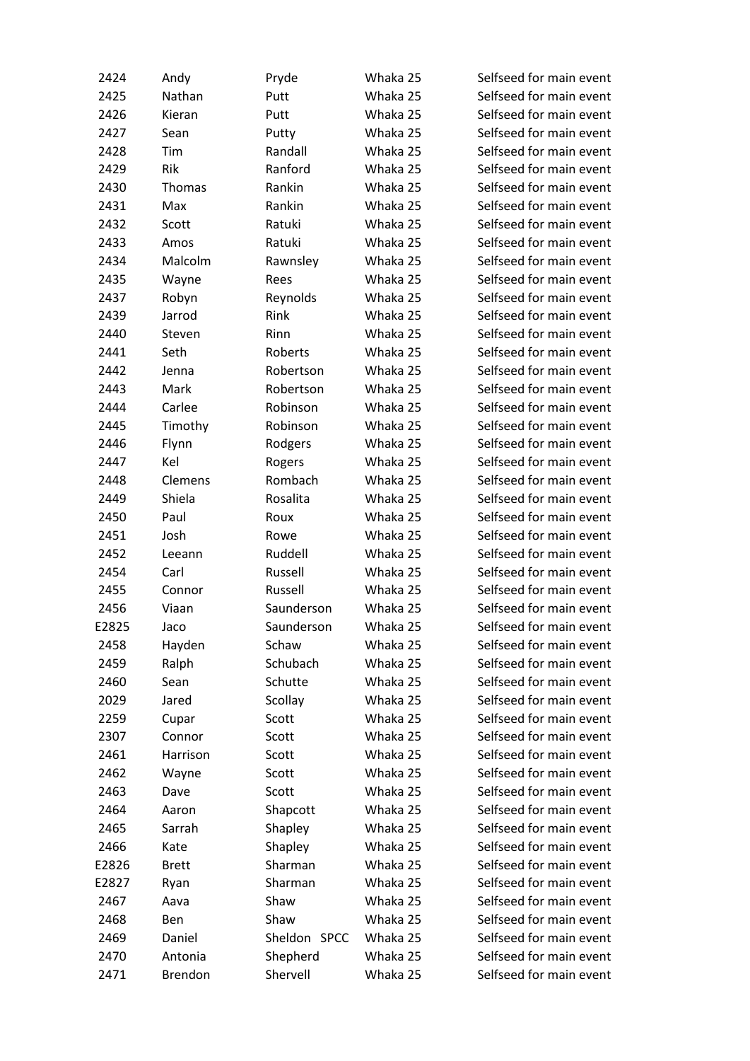| 2424  | Andy         | Pryde        | Whaka 25 | Selfseed for main event |
|-------|--------------|--------------|----------|-------------------------|
| 2425  | Nathan       | Putt         | Whaka 25 | Selfseed for main event |
| 2426  | Kieran       | Putt         | Whaka 25 | Selfseed for main event |
| 2427  | Sean         | Putty        | Whaka 25 | Selfseed for main event |
| 2428  | Tim          | Randall      | Whaka 25 | Selfseed for main event |
| 2429  | Rik          | Ranford      | Whaka 25 | Selfseed for main event |
| 2430  | Thomas       | Rankin       | Whaka 25 | Selfseed for main event |
| 2431  | Max          | Rankin       | Whaka 25 | Selfseed for main event |
| 2432  | Scott        | Ratuki       | Whaka 25 | Selfseed for main event |
| 2433  | Amos         | Ratuki       | Whaka 25 | Selfseed for main event |
| 2434  | Malcolm      | Rawnsley     | Whaka 25 | Selfseed for main event |
| 2435  |              | Rees         | Whaka 25 | Selfseed for main event |
|       | Wayne        |              |          | Selfseed for main event |
| 2437  | Robyn        | Reynolds     | Whaka 25 |                         |
| 2439  | Jarrod       | Rink         | Whaka 25 | Selfseed for main event |
| 2440  | Steven       | Rinn         | Whaka 25 | Selfseed for main event |
| 2441  | Seth         | Roberts      | Whaka 25 | Selfseed for main event |
| 2442  | Jenna        | Robertson    | Whaka 25 | Selfseed for main event |
| 2443  | Mark         | Robertson    | Whaka 25 | Selfseed for main event |
| 2444  | Carlee       | Robinson     | Whaka 25 | Selfseed for main event |
| 2445  | Timothy      | Robinson     | Whaka 25 | Selfseed for main event |
| 2446  | Flynn        | Rodgers      | Whaka 25 | Selfseed for main event |
| 2447  | Kel          | Rogers       | Whaka 25 | Selfseed for main event |
| 2448  | Clemens      | Rombach      | Whaka 25 | Selfseed for main event |
| 2449  | Shiela       | Rosalita     | Whaka 25 | Selfseed for main event |
| 2450  | Paul         | Roux         | Whaka 25 | Selfseed for main event |
| 2451  | Josh         | Rowe         | Whaka 25 | Selfseed for main event |
| 2452  | Leeann       | Ruddell      | Whaka 25 | Selfseed for main event |
| 2454  | Carl         | Russell      | Whaka 25 | Selfseed for main event |
| 2455  | Connor       | Russell      | Whaka 25 | Selfseed for main event |
| 2456  | Viaan        | Saunderson   | Whaka 25 | Selfseed for main event |
| E2825 | Jaco         | Saunderson   | Whaka 25 | Selfseed for main event |
| 2458  | Hayden       | Schaw        | Whaka 25 | Selfseed for main event |
| 2459  | Ralph        | Schubach     | Whaka 25 | Selfseed for main event |
| 2460  | Sean         | Schutte      | Whaka 25 | Selfseed for main event |
| 2029  | Jared        | Scollay      | Whaka 25 | Selfseed for main event |
| 2259  | Cupar        | Scott        | Whaka 25 | Selfseed for main event |
| 2307  | Connor       | Scott        | Whaka 25 | Selfseed for main event |
| 2461  | Harrison     | Scott        | Whaka 25 | Selfseed for main event |
| 2462  | Wayne        | Scott        | Whaka 25 | Selfseed for main event |
| 2463  | Dave         | Scott        | Whaka 25 | Selfseed for main event |
| 2464  | Aaron        | Shapcott     | Whaka 25 | Selfseed for main event |
| 2465  | Sarrah       | Shapley      | Whaka 25 | Selfseed for main event |
| 2466  | Kate         | Shapley      | Whaka 25 | Selfseed for main event |
| E2826 | <b>Brett</b> | Sharman      | Whaka 25 | Selfseed for main event |
| E2827 | Ryan         | Sharman      | Whaka 25 | Selfseed for main event |
| 2467  | Aava         | Shaw         | Whaka 25 | Selfseed for main event |
| 2468  | Ben          | Shaw         | Whaka 25 | Selfseed for main event |
| 2469  | Daniel       | Sheldon SPCC | Whaka 25 | Selfseed for main event |
| 2470  | Antonia      |              | Whaka 25 | Selfseed for main event |
|       |              | Shepherd     |          |                         |
| 2471  | Brendon      | Shervell     | Whaka 25 | Selfseed for main event |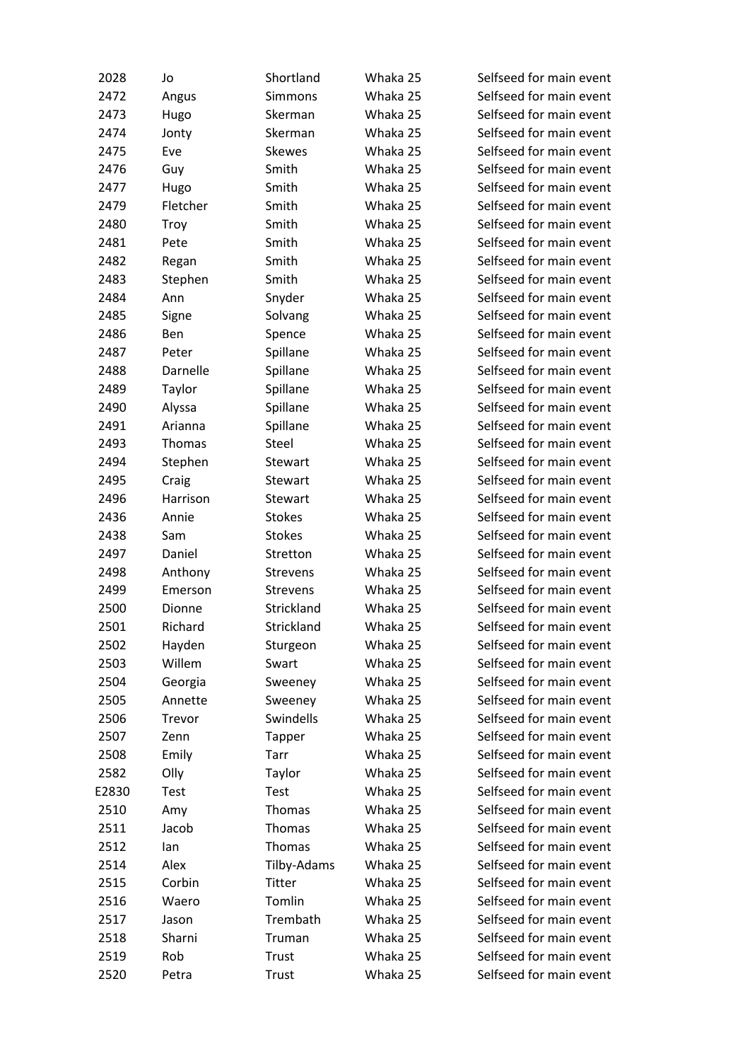| 2028  | Jo          | Shortland      | Whaka 25 | Selfseed for main event |
|-------|-------------|----------------|----------|-------------------------|
| 2472  | Angus       | <b>Simmons</b> | Whaka 25 | Selfseed for main event |
| 2473  | Hugo        | Skerman        | Whaka 25 | Selfseed for main event |
| 2474  | Jonty       | Skerman        | Whaka 25 | Selfseed for main event |
| 2475  | Eve         | <b>Skewes</b>  | Whaka 25 | Selfseed for main event |
| 2476  | Guy         | Smith          | Whaka 25 | Selfseed for main event |
| 2477  | Hugo        | Smith          | Whaka 25 | Selfseed for main event |
| 2479  | Fletcher    | Smith          | Whaka 25 | Selfseed for main event |
| 2480  | Troy        | Smith          | Whaka 25 | Selfseed for main event |
| 2481  | Pete        | Smith          | Whaka 25 | Selfseed for main event |
| 2482  | Regan       | Smith          | Whaka 25 | Selfseed for main event |
| 2483  | Stephen     | Smith          | Whaka 25 | Selfseed for main event |
| 2484  | Ann         | Snyder         | Whaka 25 | Selfseed for main event |
| 2485  | Signe       | Solvang        | Whaka 25 | Selfseed for main event |
| 2486  | Ben         | Spence         | Whaka 25 | Selfseed for main event |
| 2487  | Peter       | Spillane       | Whaka 25 | Selfseed for main event |
| 2488  | Darnelle    | Spillane       | Whaka 25 | Selfseed for main event |
| 2489  | Taylor      | Spillane       | Whaka 25 | Selfseed for main event |
| 2490  | Alyssa      | Spillane       | Whaka 25 | Selfseed for main event |
| 2491  | Arianna     | Spillane       | Whaka 25 | Selfseed for main event |
| 2493  | Thomas      | Steel          | Whaka 25 | Selfseed for main event |
| 2494  | Stephen     | Stewart        | Whaka 25 | Selfseed for main event |
| 2495  | Craig       | Stewart        | Whaka 25 | Selfseed for main event |
| 2496  | Harrison    | Stewart        | Whaka 25 | Selfseed for main event |
| 2436  | Annie       | <b>Stokes</b>  | Whaka 25 | Selfseed for main event |
| 2438  | Sam         | <b>Stokes</b>  | Whaka 25 | Selfseed for main event |
| 2497  | Daniel      | Stretton       | Whaka 25 | Selfseed for main event |
| 2498  | Anthony     | Strevens       | Whaka 25 | Selfseed for main event |
| 2499  | Emerson     | Strevens       | Whaka 25 | Selfseed for main event |
| 2500  | Dionne      | Strickland     | Whaka 25 | Selfseed for main event |
| 2501  | Richard     | Strickland     | Whaka 25 | Selfseed for main event |
| 2502  | Hayden      | Sturgeon       | Whaka 25 | Selfseed for main event |
| 2503  | Willem      | Swart          | Whaka 25 | Selfseed for main event |
| 2504  | Georgia     | Sweeney        | Whaka 25 | Selfseed for main event |
| 2505  | Annette     | Sweeney        | Whaka 25 | Selfseed for main event |
| 2506  | Trevor      | Swindells      | Whaka 25 | Selfseed for main event |
| 2507  | Zenn        | Tapper         | Whaka 25 | Selfseed for main event |
| 2508  | Emily       | Tarr           | Whaka 25 | Selfseed for main event |
| 2582  | Olly        | Taylor         | Whaka 25 | Selfseed for main event |
| E2830 | <b>Test</b> | Test           | Whaka 25 | Selfseed for main event |
| 2510  | Amy         | Thomas         | Whaka 25 | Selfseed for main event |
| 2511  | Jacob       | Thomas         | Whaka 25 | Selfseed for main event |
| 2512  | lan         | Thomas         | Whaka 25 | Selfseed for main event |
| 2514  | Alex        | Tilby-Adams    | Whaka 25 | Selfseed for main event |
| 2515  | Corbin      | Titter         | Whaka 25 | Selfseed for main event |
| 2516  | Waero       | Tomlin         | Whaka 25 | Selfseed for main event |
| 2517  | Jason       | Trembath       | Whaka 25 | Selfseed for main event |
| 2518  | Sharni      | Truman         | Whaka 25 | Selfseed for main event |
| 2519  | Rob         | <b>Trust</b>   | Whaka 25 | Selfseed for main event |
| 2520  | Petra       | Trust          | Whaka 25 | Selfseed for main event |
|       |             |                |          |                         |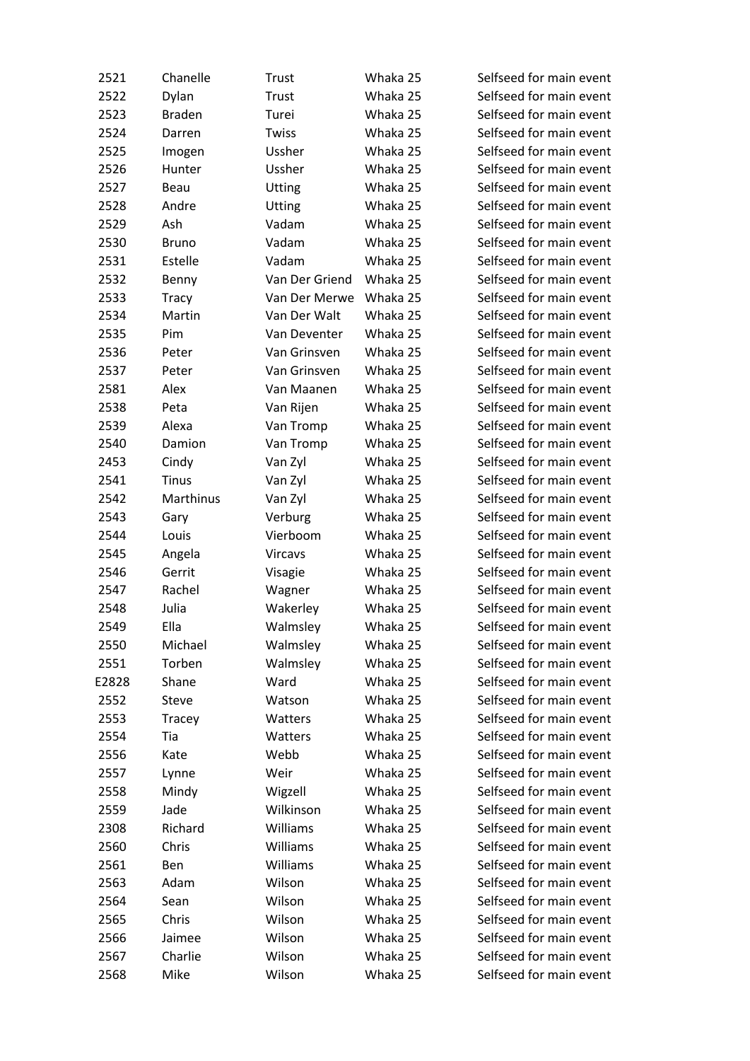| 2521  | Chanelle      | Trust          | Whaka 25 | Selfseed for main event |
|-------|---------------|----------------|----------|-------------------------|
| 2522  | Dylan         | Trust          | Whaka 25 | Selfseed for main event |
| 2523  | <b>Braden</b> | Turei          | Whaka 25 | Selfseed for main event |
| 2524  | Darren        | Twiss          | Whaka 25 | Selfseed for main event |
| 2525  | Imogen        | Ussher         | Whaka 25 | Selfseed for main event |
| 2526  | Hunter        | Ussher         | Whaka 25 | Selfseed for main event |
| 2527  | Beau          | <b>Utting</b>  | Whaka 25 | Selfseed for main event |
| 2528  | Andre         | <b>Utting</b>  | Whaka 25 | Selfseed for main event |
| 2529  | Ash           | Vadam          | Whaka 25 | Selfseed for main event |
| 2530  | <b>Bruno</b>  | Vadam          | Whaka 25 | Selfseed for main event |
| 2531  | Estelle       | Vadam          | Whaka 25 | Selfseed for main event |
| 2532  | Benny         | Van Der Griend | Whaka 25 | Selfseed for main event |
| 2533  | Tracy         | Van Der Merwe  | Whaka 25 | Selfseed for main event |
| 2534  | Martin        | Van Der Walt   | Whaka 25 | Selfseed for main event |
| 2535  | Pim           | Van Deventer   | Whaka 25 | Selfseed for main event |
| 2536  | Peter         | Van Grinsven   | Whaka 25 | Selfseed for main event |
| 2537  | Peter         | Van Grinsven   | Whaka 25 | Selfseed for main event |
| 2581  | Alex          | Van Maanen     | Whaka 25 | Selfseed for main event |
| 2538  | Peta          | Van Rijen      | Whaka 25 | Selfseed for main event |
| 2539  | Alexa         | Van Tromp      | Whaka 25 | Selfseed for main event |
| 2540  | Damion        | Van Tromp      | Whaka 25 | Selfseed for main event |
| 2453  | Cindy         | Van Zyl        | Whaka 25 | Selfseed for main event |
| 2541  | <b>Tinus</b>  | Van Zyl        | Whaka 25 | Selfseed for main event |
| 2542  | Marthinus     | Van Zyl        | Whaka 25 | Selfseed for main event |
| 2543  | Gary          | Verburg        | Whaka 25 | Selfseed for main event |
| 2544  | Louis         | Vierboom       | Whaka 25 | Selfseed for main event |
| 2545  | Angela        | Vircavs        | Whaka 25 | Selfseed for main event |
| 2546  | Gerrit        | Visagie        | Whaka 25 | Selfseed for main event |
| 2547  | Rachel        | Wagner         | Whaka 25 | Selfseed for main event |
| 2548  | Julia         | Wakerley       | Whaka 25 | Selfseed for main event |
| 2549  | Ella          | Walmsley       | Whaka 25 | Selfseed for main event |
| 2550  | Michael       | Walmsley       | Whaka 25 | Selfseed for main event |
| 2551  | Torben        | Walmsley       | Whaka 25 | Selfseed for main event |
| E2828 | Shane         | Ward           | Whaka 25 | Selfseed for main event |
| 2552  | Steve         | Watson         | Whaka 25 | Selfseed for main event |
| 2553  | Tracey        | Watters        | Whaka 25 | Selfseed for main event |
| 2554  | Tia           | Watters        | Whaka 25 | Selfseed for main event |
| 2556  | Kate          | Webb           | Whaka 25 | Selfseed for main event |
| 2557  | Lynne         | Weir           | Whaka 25 | Selfseed for main event |
| 2558  | Mindy         | Wigzell        | Whaka 25 | Selfseed for main event |
| 2559  | Jade          | Wilkinson      | Whaka 25 | Selfseed for main event |
| 2308  | Richard       | Williams       | Whaka 25 | Selfseed for main event |
| 2560  | Chris         | Williams       | Whaka 25 | Selfseed for main event |
| 2561  | Ben           | Williams       | Whaka 25 | Selfseed for main event |
| 2563  | Adam          | Wilson         | Whaka 25 | Selfseed for main event |
| 2564  | Sean          | Wilson         | Whaka 25 | Selfseed for main event |
| 2565  | Chris         | Wilson         | Whaka 25 | Selfseed for main event |
| 2566  | Jaimee        | Wilson         | Whaka 25 | Selfseed for main event |
| 2567  | Charlie       | Wilson         | Whaka 25 | Selfseed for main event |
| 2568  | Mike          | Wilson         | Whaka 25 | Selfseed for main event |
|       |               |                |          |                         |